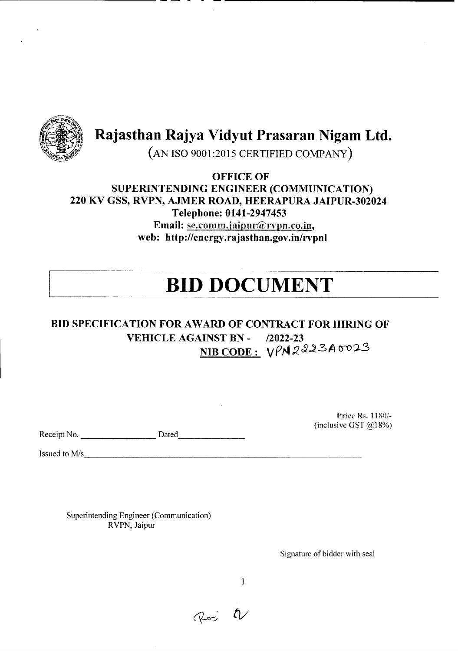

**Rajasthan Rajya Vidyut Prasaran Nigam Ltd.**

--------------- --------------------

(AN ISO 9001:2015 CERTIFIED COMPANY)

**OFFICE OF SUPERINTENDING ENGINEER (COMMUNICATION) 220 KV GSS, RVPN, AJMER ROAD, HEERAPURA JAIPUR-302024 Telephone: 0141-2947453** Email: se.comm.jaipur@rvpn.co.in, **web: http://energy .rajasthan.gov .in/rvpnl**

# **BID DOCUMENT**

## **BID SPECIFICATION FOR AWARD OF CONTRACT FOR HIRING OF VEHICLE AGAINST BN -** *12022-23*  $NIB CODE: VPM2223A6023$

Receipt No. Dated Dated Dated Dated All Control of the Dated All Control of the United States of the Dated All Control of the United States of the United States of the United States of the United States of the United State

Price Rs. 1180/- (inclusive GST  $@18%$ )

Issued to *Mis* ---------------------------------------

Superintending Engineer (Communication) RVPN, Jaipur

Signature of bidder with seal

 $\mathbf{1}$ 

Ros t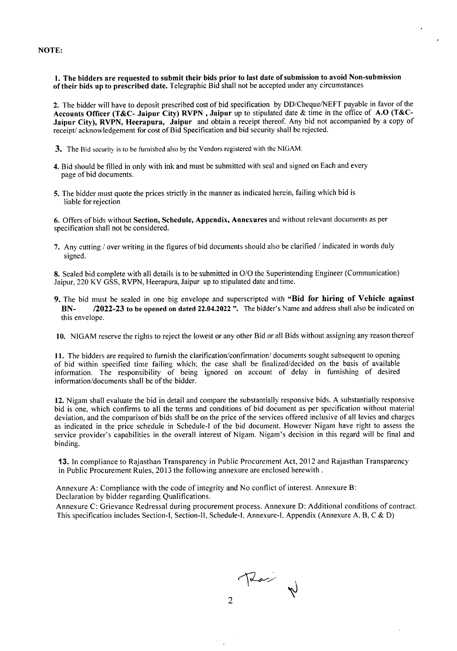NOTE:

1. The bidders are requested to submit their bids prior to last date of submission to avoid Non-submission of their bids up to prescribed date. Telegraphic Bid shall not be accepted under any circumstances

2. The bidder will have to deposit prescribed cost of bid specification by DD/Cheque/NEFT payable in favor of the Accounts Officer (T&C- Jaipur City) RVPN, Jaipur up to stipulated date & time in the office of A.O (T&C-Jaipur City), RVPN, Heerapura, Jaipur and obtain a receipt thereof. Any bid not accompanied by a copy of receipt/ acknowledgement for cost of Bid Specification and bid security shall be rejected.

- 3. The Bid security is to be furnished also by the Vendors registered with the NIGAM.
- 4. Bid should be filled in only with ink and must be submitted with seal and signed on Each and every page of bid documents.
- 5. The bidder must quote the prices strictly in the manner as indicated herein, failing which bid is liable for rejection

6. Offers of bids without Section, Schedule, Appendix, Annexures and without relevant documents as per specification shall not be considered.

7. Any cutting / overwriting in the figures of bid documents should also be clarified / indicated in words duly signed.

8. Sealed bid complete with all details is to be submitted in O/O the Superintending Engineer (Communication) Jaipur, 220 KV GSS, RVPN, Heerapura,Jaipur up to stipulated date and time.

- 9. The bid must be sealed in one big envelope and superscripted with "Bid for hiring of Vehicle against BN- **12022-23** to be opened on dated 22.04.2022". The bidder's Name and address shall also be indicated on this envelope.
- 10. NIGAM reserve the rights to reject the lowest or any other Bid or all Bids without assigning any reason thereof

11. The bidders are required to furnish the clarification/confirmation/documents sought subsequent to opening of bid within specified time failing which; the case shall be finalized/decided on the basis of available information. The responsibility of being ignored on account of delay in furnishing of desired information/documents shall be of the bidder.

12. Nigam shall evaluate the bid in detail and compare the substantially responsive bids. A substantially responsive bid is one, which confirms to all the terms and conditions of bid document as per specification without material deviation, and the comparison of bids shall be on the price of the services offered inclusive of all levies and charges as indicated in the price schedule in Schedule-I of the bid document. However Nigam have right to assess the service provider's capabilities in the overall interest of Nigam. Nigam's decision in this regard will be final and binding.

13. In compliance to Rajasthan Transparency in Public Procurement Act, 2012 and Rajasthan Transparency in Public Procurement Rules, 2013 the following annexure are enclosed herewith.

Annexure A: Compliance with the code of integrity and No conflict of interest. Annexure B: Declaration by bidder regarding Qualifications.

Annexure C: Grievance Redressal during procurement process. Annexure D: Additional conditions of contract. This specification includes Section-I, Section-Il, Schedule-I, Annexure-I, Appendix (Annexure A. B, C & D)

That N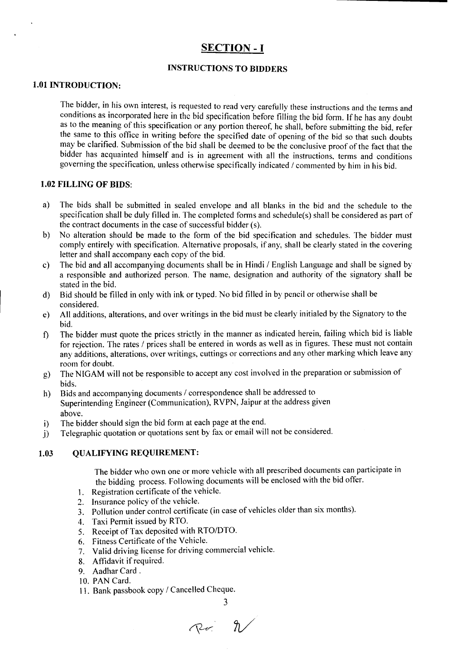### **SECTION - I**

### **INSTRUCTIONS TO BIDDERS**

### **1.01 INTRODUCTION:**

The bidder, in his own interest, is requested to read very carefully these instructions and the terms and conditions as incorporated here in the bid specification before filling the bid form. If he has any doubt as to the meaning of this specification or any portion thereof, he shall, before submitting the bid, refer the same to this office in writing before the specified date of opening of the bid so that such doubts may be clarified. Submission of the bid shall be deemed to be the conclusive proof of the fact that the bidder has acquainted himself and is in agreement with all the instructions, terms and conditions governing the specification, unless otherwise specifically indicated / commented by him in his bid.

### **1.02 FILLING OF BIDS:**

- a) The bids shall be submitted in sealed envelope and all blanks in the bid and the schedule to the specification shall be duly filled in. The completed forms and schedule(s) shall be considered as part of the contract documents in the case of successful bidder (s).
- b) No alteration should be made to the form of the bid specification and schedules. The bidder must comply entirely with specification. Alternative proposals, if any, shall be clearly stated in the covering letter and shall accompany each copy of the bid.
- c) The bid and all accompanying documents shall be in Hindi *I* English Language and shall be signed by a responsible and authorized person. The name, designation and authority of the signatory shall be stated in the bid.
- d) Bid should be filled in only with ink or typed. No bid filled in by pencil or otherwise shall be considered.
- e) All additions, alterations, and over writings in the bid must be clearly initialed by the Signatory to the bid.
- f) The bidder must quote the prices strictly in the manner as indicated herein, failing which bid is liable for rejection. The rates / prices shall be entered in words as well as in figures. These must not contain any additions, alterations, over writings, cuttings or corrections and any other marking which leave any room for doubt.
- g) The NIGAM will not be responsible to accept any cost involved in the preparation or submission of bids.
- h) Bids and accompanying documents / correspondence shall be addressed to Superintending Engineer (Communication), RVPN, Jaipur at the address given above.
- i) The bidder should sign the bid form at each page at the end.
- j) Telegraphic quotation or quotations sent by fax or email will not be considered.

### **1.03 QUALIFYING REQUIREMENT:**

The bidder who own one or more vehicle with all prescribed documents can participate in the bidding process. Following documents will be enclosed with the bid offer.

- I. Registration certificate of the vehicle,
- 2. Insurance policy of the vehicle.
- 3. Pollution under control certificate (in case of vehicles older than six months).
- 4. Taxi Permit issued by RTO.
- 5. Receipt of Tax deposited with *RTO/DTO.*
- 6. Fitness Certificate of the Vehicle.
- 7. Valid driving license for driving commercial vehicle.
- 8. Affidavit ifrequired.
- 9. Aadhar Card.
- 10. PAN Card.
- II. Bank passbook copy *I* Cancelled Cheque.

3

*IV*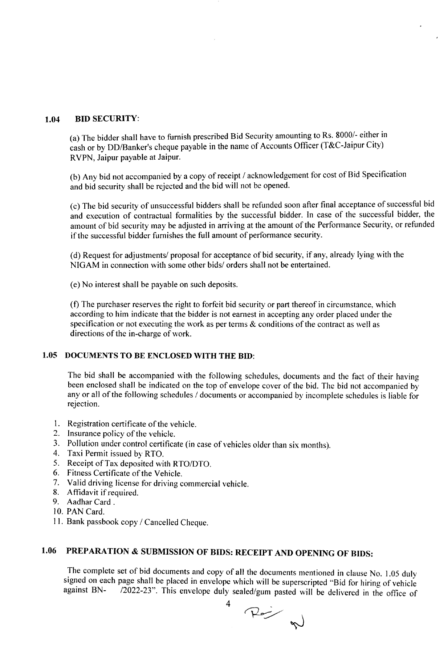### 1.04 BID SECURITY:

(a) The bidder shall have to furnish prescribed Bid Security amounting to Rs. 8000/- either in cash or by DD/Banker's cheque payable in the name of Accounts Officer (T&C-Jaipur City) RVPN, Jaipur payable at Jaipur.

(b) Any bid not accompanied by a copy of receipt *1*acknowledgement for cost of Bid Specification and bid security shall be rejected and the bid will not be opened.

(c) The bid security of unsuccessful bidders shall be refunded soon after final acceptance of successful bid and execution of contractual formalities by the successful bidder. In case of the successful bidder, the amount of bid security may be adjusted in arriving at the amount of the Performance Security, or refunded if the successful bidder furnishes the full amount of performance security.

(d) Request for adjustments/ proposal for acceptance of bid security, if any, already lying with the NIGAM in connection with some other bids/ orders shall not be entertained.

(e) No interest shall be payable on such deposits.

(f) The purchaser reserves the right to forfeit bid security or part thereof in circumstance, which according to him indicate that the bidder is not earnest in accepting any order placed under the specification or not executing the work as per terms & conditions of the contract as well as directions of the in-charge of work.

### 1.05 DOCUMENTS TO BE ENCLOSED WITH THE BID:

The bid shall be accompanied with the following schedules, documents and the fact of their having been enclosed shall be indicated on the top of envelope cover of the bid. The bid not accompanied by any or all of the following schedules *1*documents or accompanied by incomplete schedules is liable for rejection.

- 1. Registration certificate of the vehicle.
- 2. Insurance policy of the vehicle.
- 3. Pollution under control certificate (in case of vehicles older than six months).
- 4. Taxi Permit issued by RTO.
- 5. Receipt of Tax deposited with *RTO/DTO*.
- 6. Fitness Certificate of the Vehicle.
- 7. Valid driving license for driving commercial vehicle.
- 8. Affidavit if required.
- 9. Aadhar Card .
- 10. PAN Card.
- 11. Bank passbook copy *1*Cancelled Cheque.

### 1.06 PREPARATION & SUBMISSION OF BIDS: RECEIPT AND OPENING OF BIDS:

The complete set of bid documents and copy of all the documents mentioned in clause No. 1.05 duly signed on each page shall be placed in envelope which will be superscripted "Bid for hiring of vehicle against BN-  $/2022-23$ ". This envelope duly sealed/gum nasted will be delivered in the office of /2022-23". This envelope duly sealed/gum pasted will be delivered in the office of

4

 $P_{\text{max}}$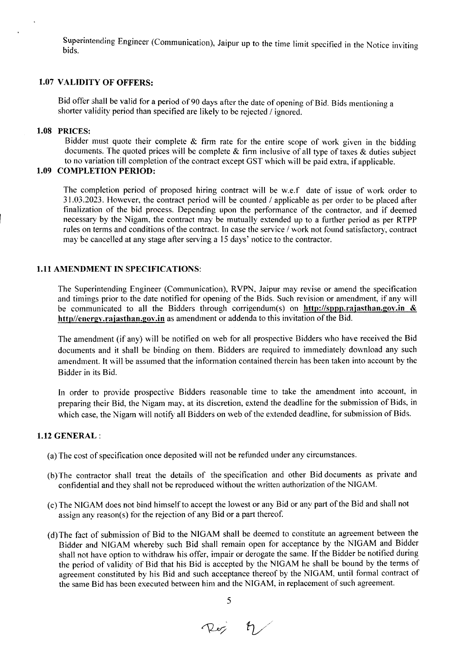Superintending Engineer (Communication), Jaipur up to the time limit specified in the Notice inviting bids.

### 1.07 VALIDITY OF OFFERS:

Bid offer shall be valid for a period of 90 days after the date of opening of Bid. Bids mentioning a shorter validity period than specified are likely to be rejected / ignored.

### 1.08 PRICES:

 $\mathbf{r}$ 

Bidder must quote their complete  $&$  firm rate for the entire scope of work given in the bidding documents. The quoted prices will be complete  $\&$  firm inclusive of all type of taxes  $\&$  duties subject to no variation till completion of the contract except GST which will be paid extra, if applicable.

### 1.09 COMPLETION PERIOD:

The completion period of proposed hiring contract will be w.e.f date of issue of work order to 31.03.2023. However, the contract period will be counted / applicable as per order to be placed after finalization of the bid process. Depending upon the performance of the contractor, and if deemed necessary by the Nigam, the contract may be mutually extended up to a further period as per RTPP rules on terms and conditions of the contract. In case the service / work not found satisfactory, contract may be cancelled at any stage after serving a 15 days' notice to the contractor.

### 1.11AMENDMENT IN SPECIFICATIONS:

The Superintending Engineer (Communication), RVPN, Jaipur may revise or amend the specification and timings prior to the date notified for opening of the Bids. Such revision or amendment, if any will be communicated to all the Bidders through corrigendum(s) on http://sppp.rajasthan.gov.in  $\&$ http//energy.rajasthan.gov.in as amendment or addenda to this invitation of the Bid.

The amendment (if any) will be notified on web for all prospective Bidders who have received the Bid documents and it shall be binding on them. Bidders are required to immediately download any such amendment. It will be assumed that the information contained therein has been taken into account by the Bidder in its Bid.

In order to provide prospective Bidders reasonable time to take the amendment into account, in preparing their Bid, the Nigam may, at its discretion, extend the deadline for the submission of Bids, in which case, the Nigam will notify all Bidders on web of the extended deadline, for submission of Bids.

### 1.12GENERAL:

- (a) The cost of specification once deposited will not be refunded under any circumstances.
- (b) The contractor shall treat the details of the specification and other Bid documents as private and confidential and they shall not be reproduced without the written authorization of the NIGAM.
- (c) The NIGAM does not bind himself to accept the lowest or any Bid or any part of the Bid and shall not assign any reason(s) for the rejection of any Bid or a part thereof.
- (d) The fact of submission of Bid to the NIGAM shall be deemed to constitute an agreement between the Bidder and NIGAM whereby such Bid shall remain open for acceptance by the NIGAM and Bidder shall not have option to withdraw his offer, impair or derogate the same. If the Bidder be notified during the period of validity of Bid that his Bid is accepted by the NIGAM he shall be bound by the terms of agreement constituted by his Bid and such acceptance thereof by the NIGAM, until formal contract of the same Bid has been executed between him and the NIGAM, in replacement of such agreement.

5

Réj 4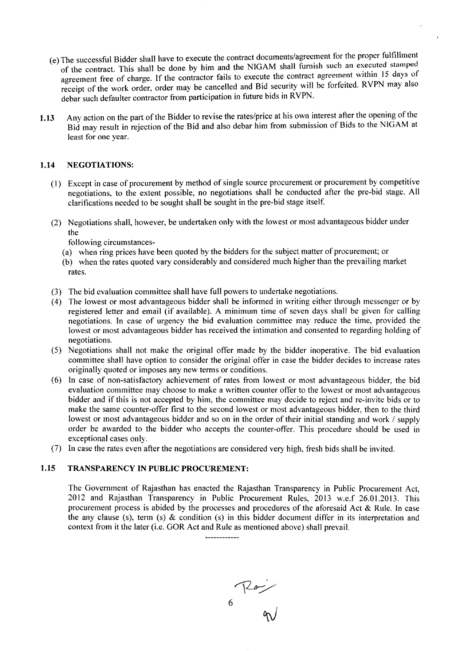- (e) The successful Bidder shall have to execute the contract documents/agreement for the proper fulfillment of the contract. This shall be done by him and the NIGAM shall furnish such an executed stamped agreement free of charge. If the contractor fails to execute the contract agreement within 15 days of receipt of the work order, order may be cancelled and Bid security will be forfeited. RVPN may also debar such defaulter contractor from participation in future bids in RVPN.
- 1.13 Any action on the part of the Bidder to revise the rates/price at his own interest after the opening of the Bid may result in rejection of the Bid and also debar him from submission of Bids to the NIGAM at least for one year.

### 1.14 NEGOTIATIONS:

- (1) Except in case of procurement by method of single source procurement or procurement by competitive negotiations, to the extent possible, no negotiations shall be conducted after the pre-bid stage. All clarifications needed to be sought shall be sought in the pre-bid stage itself.
- (2) Negotiations shall, however, be undertaken only with the lowest or most advantageous bidder under the

following circumstances-

- (a) when ring prices have been quoted by the bidders for the subject matter of procurement; or
- (b) when the rates quoted vary considerably and considered much higher than the prevailing market rates.
- (3) The bid evaluation committee shall have full powers to undertake negotiations.
- (4) The lowest or most advantageous bidder shall be informed in writing either through messenger or by registered letter and email (if available). A minimum time of seven days shall be given for calling negotiations. In case of urgency the bid evaluation committee may reduce the time, provided the lowest or most advantageous bidder has received the intimation and consented to regarding holding of negotiations.
- (5) Negotiations shall not make the original offer made by the bidder inoperative. The bid evaluation committee shall have option to consider the original offer in case the bidder decides to increase rates originally quoted or imposes any new terms or conditions.
- (6) In case of non-satisfactory achievement of rates from lowest or most advantageous bidder, the bid evaluation committee may choose to make a written counter offer to the lowest or most advantageous bidder and if this is not accepted by him, the committee may decide to reject and re-invite bids or to make the same counter-offer first to the second lowest or most advantageous bidder, then to the third lowest or most advantageous bidder and so on in the order of their initial standing and work / supply order be awarded to the bidder who accepts the counter-offer. This procedure should be used in exceptional cases only.
- (7) In case the rates even after the negotiations are considered very high, fresh bids shall be invited.

### 1.15 TRANSPARENCY IN PUBLIC PROCUREMENT:

The Government of Rajasthan has enacted the Rajasthan Transparency in Public Procurement Act, 2012 and Rajasthan Transparency in Public Procurement Rules, 2013 w.e.f 26.01.2013. This procurement process is abided by the processes and procedures of the aforesaid Act & Rule. In case the any clause (s), term (s) & condition (s) in this bidder document differ in its interpretation and context from it the later (i.e. GOR Act and Rule as mentioned above) shall prevail.

 $6 \frac{10}{9}$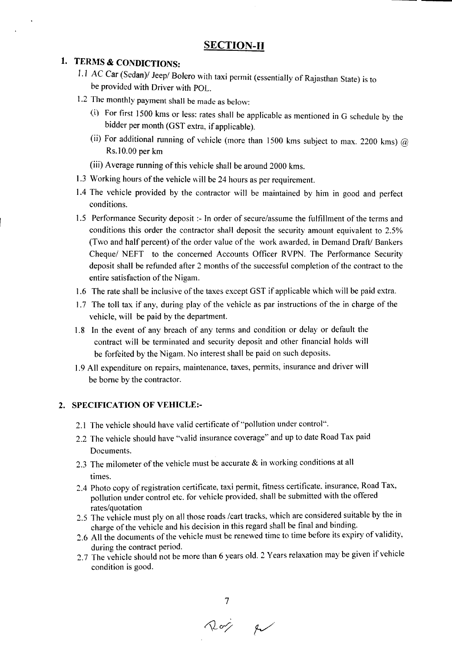### **SECTION-II**

### **1. TERMS & CONDICTIONS:**

- 1.1 AC Car (Sedan)/ Jeep/ Bolero with taxi permit (essentially of Rajasthan State) is to be provided with Driver with POL.
- 1.2 The monthly payment shall be made as below:
	- (i) For first 1500 kms or less: rates shall be applicable as mentioned in G schedule by the bidder per month (GST extra, if applicable).
	- (ii) For additional running of vehicle (more than 1500 kms subject to max. 2200 kms)  $@$ Rs.IO.OOper km
	- (iii) Average running of this vehicle shall be around 2000 kms.
- 1.3 Working hours of the vehicle will be 24 hours as per requirement.
- 1.4 The vehicle provided by the contractor will be maintained by him in good and perfect conditions.
- 1.5 Performance Security deposit :- In order of secure/assume the fulfillment of the terms and conditions this order the contractor shall deposit the security amount equivalent to 2.5% (Two and half percent) of the order value of the work awarded, in Demand Draft/ Bankers Cheque/ NEFT to the concerned Accounts Officer RVPN. The Performance Security deposit shall be refunded after 2 months of the successful completion of the contract to the entire satisfaction of the Nigam.
- 1.6 The rate shall be inclusive of the taxes except GST if applicable which will be paid extra.
- 1.7 The toll tax if any, during play of the vehicle as par instructions of the in charge of the vehicle, will be paid by the department.
- 1.8 In the event of any breach of any terms and condition or delay or default the contract will be terminated and security deposit and other financial holds will be forfeited by the Nigam. No interest shall be paid on such deposits.
- 1.9 All expenditure on repairs, maintenance, taxes, permits, insurance and driver will be borne by the contractor.

### **2. SPECIFICATION OF VEHICLE:-**

- 2.1 The vehicle should have valid certificate of "pollution under control".
- 2.2 The vehicle should have "valid insurance coverage" and up to date Road Tax paid Documents.
- 2.3 The milometer of the vehicle must be accurate & in working conditions at all times.
- 2.4 Photo copy of registration certificate, taxi permit, fitness certificate, insurance, Road Tax, pollution under control etc. for vehicle provided, shall be submitted with the offered rates/quotation
- 2.5 The vehicle must ply on all those roads /cart tracks, which are considered suitable by the in charge of the vehicle and his decision in this regard shall be final and binding.
- 2.6 All the documents of the vehicle must be renewed time to time before its expiry of validity, during the contract period. The contract period.
- 2.7 The vehicle should not be more than 6 years old. 2 Years relaxation may be given If vehicle condition is good.

 $\sim$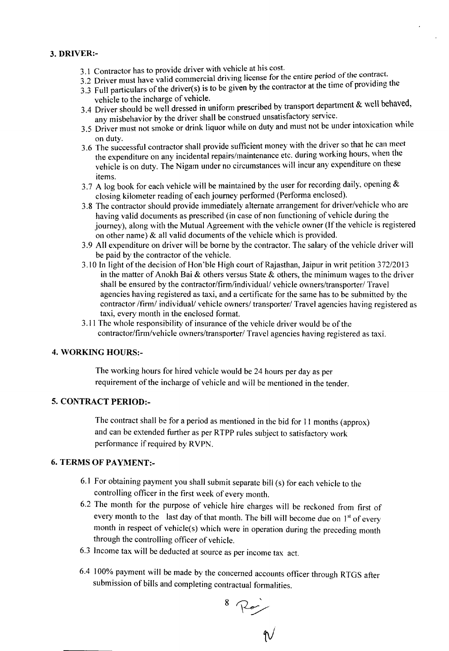### 3. DRIVER:-

- 3.1 Contractor has to provide driver with vehicle at his cost.
- 3.2 Driver must have valid commercial driving license for the entire period of the contract.
- 3.3 Full particulars of the driver(s) is to be given by the contractor at the time of providing the vehicle to the incharge of vehicle.
- $3.4$  Driver should be well dressed in uniform prescribed by transport department  $\alpha$  well behaved, any misbehavior by the driver shall be construed unsatisfactory service.
- 3.5 Driver must not smoke or drink liquor while on duty and must not be under intoxication while on duty.
- 3.6 The successful contractor shall provide sufficient money with the driver so that he can meet the expenditure on any incidental repairs/maintenance etc. during working hours, when the vehicle is on duty. The Nigam under no circumstances will incur any expenditure on these items.
- 3.7 A log book for each vehicle will be maintained by the user for recording daily, opening  $\&$ closing kilometer reading of each journey performed (Performa enclosed).
- 3.8 The contractor should provide immediately alternate arrangement for driver/vehicle who are having valid documents as prescribed (in case of non functioning of vehicle during the journey), along with the Mutual Agreement with the vehicle owner (If the vehicle is registered on other name) & all valid documents of the vehicle which is provided.
- 3.9 All expenditure on driver will be borne by the contractor. The salary of the vehicle driver will be paid by the contractor of the vehicle.
- 3.10 In light of the decision of Hon'ble High court of Rajasthan, Jaipur in writ petition 372/2013 in the matter of Anokh Bai & others versus State & others, the minimum wages to the driver shall be ensured by the contractor/firm/individual/ vehicle owners/transporter/ Travel agencies having registered as taxi, and a certificate for the same has to be submitted by the contractor /firm/ individual/ vehicle owners/ transporter/ Travel agencies having registered as taxi, every month in the enclosed format.
- 3.11 The whole responsibility of insurance of the vehicle driver would be of the contractor/finn/vehicle owners/transporter/ Travel agencies having registered as taxi.

### 4. WORKING HOURS:-

The working hours for hired vehicle would be 24 hours per day as per requirement of the incharge of vehicle and will be mentioned in the tender.

### 5. CONTRACT PERIOD:-

The contract shall be for a period as mentioned in the bid for 11 months (approx) and can be extended further as per RTPP rules subject to satisfactory work performance if required by RVPN.

### 6. TERMS OF PAYMENT:-

- 6.1 For obtaining payment you shall submit separate bill (s) for each vehicle to the controlling officer in the first week of every month.
- 6.2 The month for the purpose of vehicle hire charges will be reckoned from first of every month to the last day of that month. The bill will become due on  $1<sup>st</sup>$  of every month in respect of vehicle(s) which were in operation during the preceding month through the controlling officer of vehicle.
- 6.3 Income tax will be deducted at source as per income tax act.
- 6.4 100% payment will be made by the concerned accounts officer through RTGS after submission of bills and completing contractual formalities,

 $8 \text{ Re}$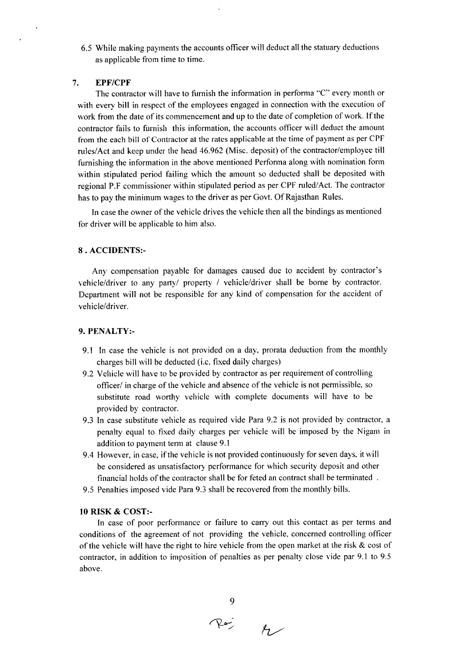6.5 While making payments the accounts officer will deduct all the statuary deductions as applicable from time to time.

### *7. EPF/CPF*

The contractor will have to fumish the information in performa "C" every month or with every bill in respect of the employees engaged in connection with the execution of work from the date of its commencement and up to the date of completion of work. If the contractor fails to furnish this information, the accounts officer will deduct the amount from the each bill of Contractor at the rates applicable at the time of payment as per CPF rules/Act and keep under the head 46.962 (Misc. deposit) of the contractor/employee till fumishing the information in the above mentioned Perfonna along with nomination form within stipulated period failing which the amount so deducted shall be deposited with regional P.F commissioner within stipulated period as per CPF ruled/Act. The contractor has to pay the minimum wages to the driver as per Govt. Of Rajasthan Rules.

In case the owner of the vehicle drives the vehicle then all the bindings as mentioned for driver will be applicable to him also.

### 8 . ACCIDENTS:-

Any compensation payable for damages caused due to accident by contractor's vehicle/driver to any party/ property / vehicle/driver shall be borne by contractor. Department will not be responsible for any kind of compensation for the accident of vehicle/driver.

### 9. PENALTY:-

- 9.1 In case the vehicle is not provided on a day, prorata deduction from the monthly charges bill will be deducted (i.c. fixed daily charges)
- 9.2 Vehicle will have to be provided by contractor as per requirement of controlling officer/ in charge of the vehicle and absence of the vehicle is not permissible, so substitute road worthy vehicle with complete documents will have to be provided by contractor.
- 9.3 In case substitute vehicle as required vide Para 9.2 is not provided by contractor, a penalty equal to fixed daily charges per vehicle will be imposed by the Nigam in addition to payment term at clause 9.1
- 9.4 However, in case, if the vehicle is not provided continuously for seven days, itwill be considered as unsatisfactory performance for which security deposit and other financial holds of the contractor shall be for feted an contract shall be terminated
- 9.5 Penalties imposed vide Para 9.3 shall be recovered fromthe monthly bills.

### 10 RISK & COST:-

In case of poor performance or failure to carry out this contact as per terms and conditions of the agreement of not providing the vehicle, concerned controlling officer of the vehicle will have the right to hire vehicle from the open market at the risk & cost of contractor, in addition to imposition of penalties as per penalty close vide par 9.1 to 9.5 above.

 $70^{\circ}$   $\mu$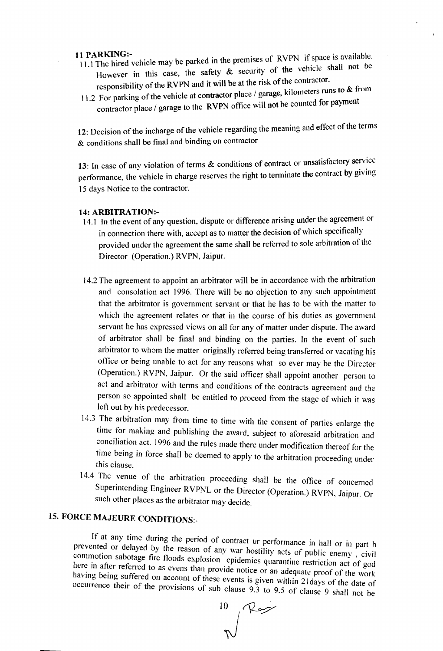- 11 PARKING:-<br>11.1 The hired vehicle may be parked in the premises of RVPN if space is available. However in this case, the safety  $\&$  security of the vehicle shall not be responsibility of the RVPN and it will be at the risk of the contractor. responsibility of the RVPN and it will be at the risk of the contractor.
- 11.2 For parking of the vehicle at contractor place / garage, kilometers rules to  $\infty$ . contractor place / garage to the RVPN office will not be counted for payment

12: Decision of the incharge of the vehicle regarding the meaning and effect of the terms  $&$  conditions shall be final and binding on contractor

13: In case of any violation of terms & conditions of contract or unsatisfactory service performance, the vehicle in charge reserves the right to terminate the contract by giving 15 days Notice to the contractor.

- 14: ARBITRATION:-<br>14.1 In the event of any question, dispute or difference arising under the agreement or in connection there with, accept as to matter the decision of which specifically provided under the agreement the same shall be referred to sole arbitration 0 Director (Operation.) RVPN, Jaipur.
- 14.2 The agreement to appoint an arbitrator will be in accordance with the arbitration and consolation act 1996. There will be no objection to any such appointment that the arbitrator is government servant or that he has to be with the matter to which the agreement relates or that in the course of his duties as government servant he has expressed views on all for any of matter under dispute. The award of arbitrator shall be final and binding on the parties. In the event of such arbitrator to whom the matter originally referred being transferred or vacating his office or being unable to act for any reasons what so ever may be the Director (Operation.) RVPN, Jaipur. Or the said officer shall appoint another person to act and arbitrator with terms and conditions of the contracts agreement and the person so appointed shall be entitled to proceed from the stage of which it was left out by his predecessor.
- ]4.3 The arbitration may from time to time with the consent of parties enlarge the time for making and publishing the award, subject to aforesaid arbitration and conciliation act. 1996 and the rules made there under modification thereof for the time being in force shall be deemed to apply to the arbitration proceeding under this clause.
- 14.4 The venue of the arbitration proceeding shall be the office of concerned Superintending Engineer RVPNL or the Director (Operation.) RVPN, Jaipur. Or such other places as the arbitrator may decide.

## 15. FORCE MAJEURE CONDITIONS:-

If at any time during the period of contract ur performance in hall or in part b prevented or delayed by the reason of any war hostility acts of public enemy, civil commotion sabotage fire floods explosion epidemics quarantine restriction act of god here in after referred to as evens than provide notice or an adequate proof of the work having being suffered on account of these events is given within 2 Idays of the date of occurrence their of the provisions of sub clause 9.3 to 9.5 of clause 9 shall not be

 $^{10}$  Rog J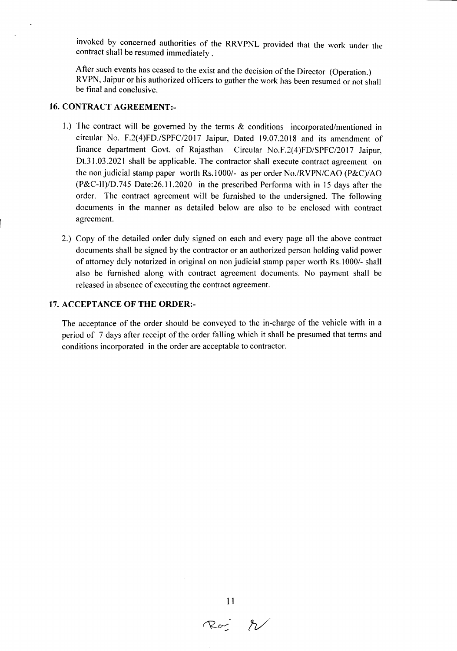invoked by concerned authorities of the RRVPNL provided that the work under the contract shall be resumed immediately.

After such events has ceased to the exist and the decision of the Director (Operation.) RVPN, Jaipur or his authorized officers to gather the work has been resumed or not shall be final and conclusive.

### 16. CONTRACT AGREEMENT:-

- I.) The contract will be governed by the terms & conditions incorporated/mentioned in circular No. F.2(4)FD./SPFC/2017 Jaipur, Dated 19.07.2018 and its amendment of finance department Govt. of Rajasthan Circular No.F.2(4)FD/SPFC/2017 Jaipur, Dt.3l.03.2021 shall be applicable. The contractor shall execute contract agreement on the non judicial stamp paper worth Rs.1000/- as per order No./RVPN/CAO (P&C)/AO (P&C-II)/D.745 Date:26.11.2020 in the prescribed Performa with in 15 days after the order. The contract agreement will be furnished to the undersigned. The following documents in the manner as detailed below are also to be enclosed with contract agreement.
- 2.) Copy of the detailed order duly signed on each and every page all the above contract documents shall be signed by the contractor or an authorized person holding valid power of attorney duly notarized in original on non judicial stamp paper worth Rs.I 000/- shall also be furnished along with contract agreement documents. No payment shall be released in absence of executing the contract agreement.

### 17. ACCEPTANCE OF THE ORDER:-

The acceptance of the order should be conveyed to the in-charge of the vehicle with in a period of 7 days after receipt of the order falling which it shall be presumed that terms and conditions incorporated in the order are acceptable to contractor.

 $11$ <br>Roj  $\nw$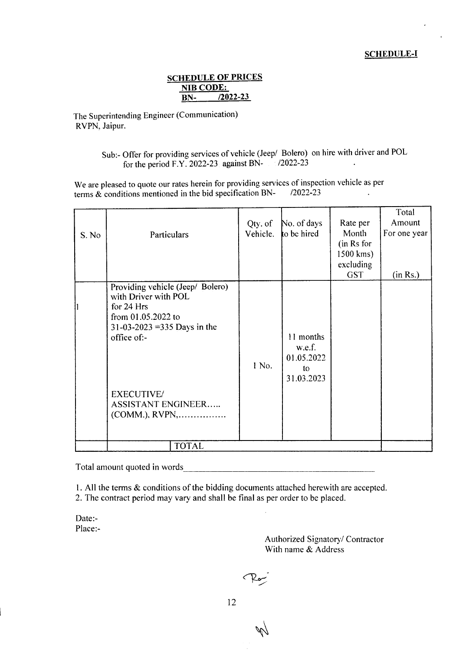### **SCHEDULE OF PRICES** NIB CODE: **BN- /2022-23**

The Superintending Engineer (Communication) RVPN, Jaipur.

> Sub:- Offer for providing services of vehicle (Jeep/ Bolero) on hire with driver and POL for the period F.Y. 2022-23 against BN- *12022-23*

We are pleased to quote our rates herein for providing services of inspection vehicle as per terms & conditions mentioned in the bid specification BN- /2022-23

| S. No | Particulars                                                                                                                                                                                   | Qty. of<br>Vehicle. | No. of days<br>to be hired                            | Rate per<br>Month<br>(in Rs for<br>1500 kms) | Total<br>Amount<br>For one year |
|-------|-----------------------------------------------------------------------------------------------------------------------------------------------------------------------------------------------|---------------------|-------------------------------------------------------|----------------------------------------------|---------------------------------|
|       |                                                                                                                                                                                               |                     |                                                       | excluding<br><b>GST</b>                      | (in Rs.)                        |
|       | Providing vehicle (Jeep/ Bolero)<br>with Driver with POL<br>for 24 Hrs<br>from 01.05.2022 to<br>31-03-2023 = 335 Days in the<br>office of:-<br><b>EXECUTIVE/</b><br><b>ASSISTANT ENGINEER</b> | 1 No.               | 11 months<br>w.e.f.<br>01.05.2022<br>to<br>31.03.2023 |                                              |                                 |
|       | <b>TOTAL</b>                                                                                                                                                                                  |                     |                                                       |                                              |                                 |

Total amount quoted in words -------------------------------------

I. All the terms & conditions of the bidding documents attached herewith are accepted.

2. The contract period may vary and shall be final as per order to be placed.

Date:- Place:-

> Authorized Signatory/ Contractor With name & Address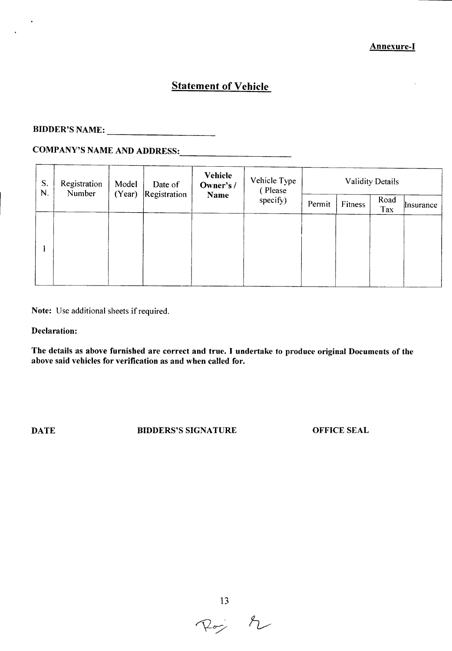### **Statement of Vehicle**

## BIDDER'S NAME: ----------------------

## COMPANY'S NAME AND ADDRESS: -----------------------

| S.<br>N. | Registration<br>Number | Model<br>Date of<br>(Year)<br>Registration |  | Vehicle<br>Owner's /<br>Name | Vehicle Type<br>(Please<br>specify) | <b>Validity Details</b> |         |             |                    |
|----------|------------------------|--------------------------------------------|--|------------------------------|-------------------------------------|-------------------------|---------|-------------|--------------------|
|          |                        |                                            |  |                              |                                     | Permit                  | Fitness | Road<br>Tax | <i>l</i> lnsurance |
|          |                        |                                            |  |                              |                                     |                         |         |             |                    |
|          |                        |                                            |  |                              |                                     |                         |         |             |                    |
|          |                        |                                            |  |                              |                                     |                         |         |             |                    |
|          |                        |                                            |  |                              |                                     |                         |         |             |                    |

Note: Use additional sheets if required.

### Declaration:

The details as above furnished are correct and true. I undertake to produce original Documents of the above said vehicles for verification as and when called for.

**DATE** BIDDERS'S SIGNATURE OFFICE SEAL

 $\frac{13}{\sqrt{200}}$   $\sqrt{2}$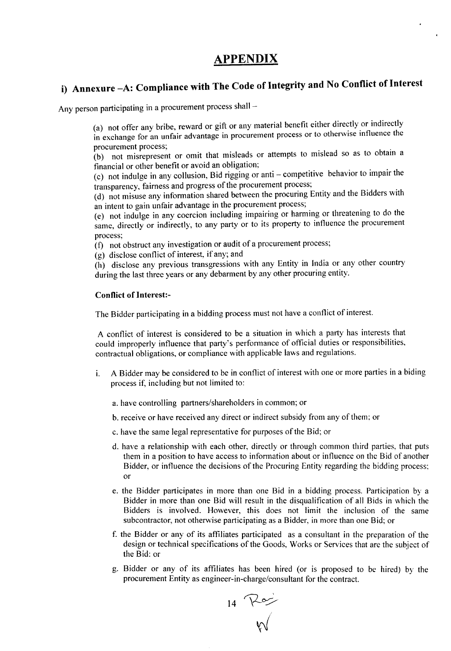## **APPENDIX**

## **i) Annexure** -A: **Compliance with The Code of Integrity and No Conflict of Interest**

Any person participating in a procurement process shall -

(a) not offer any bribe, reward or gift or any material benefit either directly or indirectly in exchange for an unfair advantage in procurement process or to otherwise influence the procurement process;

(b) not misrepresent or omit that misleads or attempts to mislead so as to obtain a financial or other benefit or avoid an obligation;

(c) not indulge in any collusion, Bid rigging or anti - competitive behavior to impair the transparency, fairness and progress of the procurement process;

(d) not misuse any information shared between the procuring Entity and the Bidders with an intent to gain unfair advantage in the procurement process;

(e) not indulge in any coercion including impairing or harming or threatening to do the same, directly or indirectly, to any party or to its property to influence the procurement process;

(f) not obstruct any investigation or audit of a procurement process;

(g) disclose conflict of interest, if any; and

(h) disclose any previous transgressions with any Entity in India or any other country during the last three years or any debarment by any other procuring entity.

### Conflict of Interest:-

The Bidder participating in a bidding process must not have a conflict of interest.

A conflict of interest is considered to be a situation in which a party has interests that could improperly influence that party's performance of official duties or responsibilities, contractual obligations, or compliance with applicable laws and regulations.

- i. A Bidder may be considered to be in conflict of interest with one or more parties in a biding process if, including but not limited to:
	- a. have controlling pattners/shareholders in common; or
	- b. receive or have received any direct or indirect subsidy from any of them: or
	- c. have the same legal representative for purposes of the Bid; or
	- d. have a relationship with each other, directly or through common third parties, that puts them in a position to have access to information about or influence on the Bid of another Bidder, or influence the decisions of the Procuring Entity regarding the bidding process; or
	- e. the Bidder participates in more than one Bid in a bidding process. Participation by a Bidder in more than one Bid will result in the disqualification of all Bids in which the Bidders is involved. However, this does not limit the inclusion of the same subcontractor, not otherwise participating as a Bidder, in more than one Bid; or
	- f. the Bidder or any of its affiliates participated as a consultant in the preparation of the design or technical specifications of the Goods, Works or Services that are the subject of the Bid: or .
	- g. Bidder or any of its affiliates has been hired (or is proposed to be hired) by the procurement Entity as engineer-in-charge/consultant for the contract.

 $\overline{P}$ <sup>14</sup>  $\overline{M}$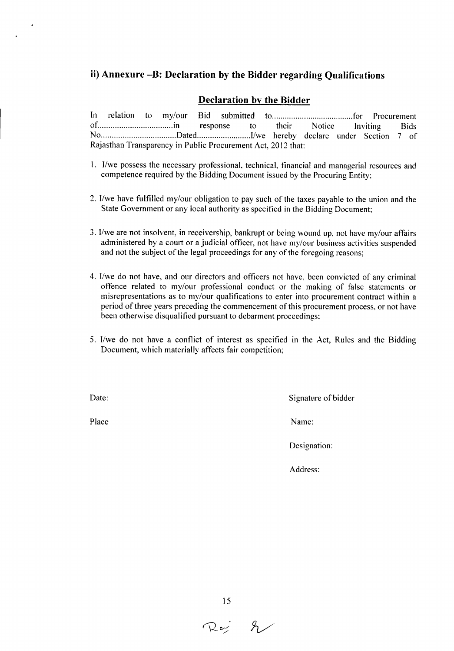### **ii) Annexure** -B: **Declaration by the Bidder regarding Qualifications**

### **Declaration by the Bidder**

In relation to my/our Bid submitted to for for an example of Procurement of in response to their Notice Inviting Bids No Dated I1we hereby declare under Section 7 of Rajasthan Transparency in Public Procurement Act, 2012 that:

- I. *I1we* possess the necessary professional, technical, financial and managerial resources and competence required by the Bidding Document issued by the Procuring Entity;
- 2. I/we have fulfilled my/our obligation to pay such of the taxes payable to the union and the State Government or any local authority as specified in the Bidding Document;
- 3. I/we are not insolvent, in receivership, bankrupt or being wound up, not have my/our affairs administered by a court or a judicial officer, not have my/our business activities suspended and not the subject of the legal proceedings for any of the foregoing reasons;
- 4. I/we do not have, and our directors and officers not have, been convicted of any criminal offence related to my/our professional conduct or the making of false statements or misrepresentations as to my/our qualifications to enter into procurement contract within a period of three years preceding the commencement of this procurement process, or not have been otherwise disqualified pursuant to debarment proceedings:
- 5. I/we do not have a conflict of interest as specified in the *Act,* Rules and the Bidding Document, which materially affects fair competition:

Date: Signature of bidder

Place Name: Name: Name: Name: Name: Name: Name: Name: Name: Name: Name: Name: Name: Name: Name: Name: Name: Name: Name: Name: Name: Name: Name: Name: Name: Name: Name: Name: Name: Name: Name: Name: Name: Name: Name: Name:

Designation:

Address:

 $R_{\alpha}$   $\gamma$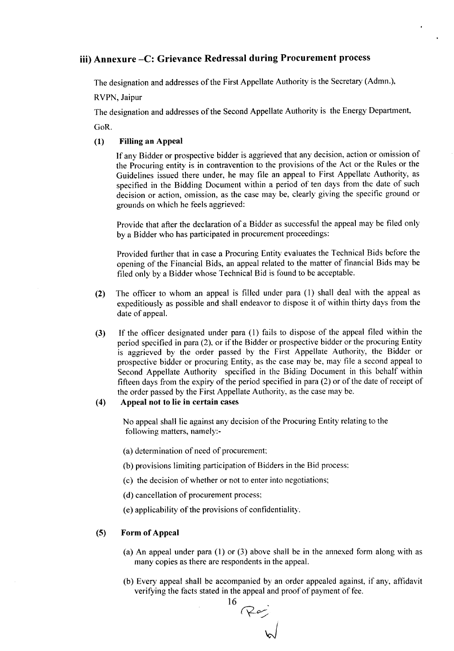### iii) Annexure -C: Grievance Redressal during Procurement process

The designation and addresses of the First Appellate Authority is the Secretary (Admn.),

RVPN, Jaipur

The designation and addresses of the Second Appellate Authority is the Energy Department,

GoR.

### (1) Filling an Appeal

If any Bidder or prospective bidder is aggrieved that any decision, action or omission of the Procuring entity is in contravention to the provisions of the Act or the Rules or the Guidelines issued there under, he may file an appeal to First Appellate Authority, as specified in the Bidding Document within a period of ten days from the date of such decision or action, omission, as the case may be, clearly giving the specific ground or grounds on which he feels aggrieved:

Provide that after the declaration of a Bidder as successful the appeal may be filed only by a Bidder who has participated in procurement proceedings:

Provided further that in case a Procuring Entity evaluates the Technical Bids before the opening of the Financial Bids, an appeal related to the matter of financial Bids may be filed only by a Bidder whose Technical Bid is found to be acceptable.

- (2) The officer to whom an appeal is filled under para (l) shall deal with the appeal as expeditiously as possible and shall endeavor to dispose it of within thirty days from the date of appeal.
- (3) If the officer designated under para (I) fails to dispose of the appeal filed within the period specified in para (2), or if the Bidder or prospective bidder or the procuring Entity is aggrieved by the order passed by the First Appellate Authority, the Bidder or prospective bidder or procuring Entity, as the case may be, may file a second appeal to Second Appellate Authority specified in the Biding Document in this behalf within fifteen days from the expiry of the period specified in para (2) or of the date of receipt of the order passed by the First Appellate Authority, as the case may be.

### (4) Appeal not to lie in certain cases

No appeal shall lie against any decision of the Procuring Entity relating to the following matters, namely:-

(a) determination of need of procurement

- (b) provisions limiting participation of Bidders in the Bid process:
- (c) the decision of whether or not to enter into negotiations;
- (d) cancellation of procurement process:
- (e) applicability of the provisions of confidentiality.

### (5) Form of Appeal

- (a) An appeal under para (1) or (3) above shall be in the annexed form along with as many copies as there are respondents in the appeal.
- (b) Every appeal shall be accompanied by an order appealed against, if any, affidavit verifying the facts stated in the appeal and proof of payment of fee.

16 *R-.~* J<br>J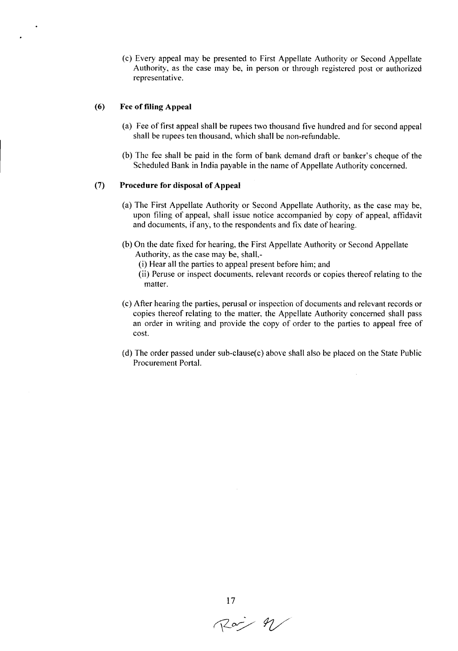(c) Every appeal may be presented to First Appellate Authority or Second Appellate Authority, as the case may be, in person or through registered post or authorized representative.

### (6) Fee of filing Appeal

- (a) Fee of first appeal shall be rupees two thousand five hundred and for second appeal shall be rupees ten thousand, which shall be non-refundable.
- (b) The fee shall be paid in the form of bank demand draft or banker's cheque of the Scheduled Bank in India payable in the name of Appellate Authority concerned.

### (7) Procedure for disposal of Appeal

- (a) The First Appellate Authority or Second Appellate Authority, as the case may be, upon filing of appeal, shall issue notice accompanied by copy of appeal, affidavit and documents, if any, to the respondents and fix date of hearing.
- (b) On the date fixed for hearing, the First Appellate Authority or Second Appellate Authority, as the case may be, shall-
	- (i) Hear all the parties to appeal present before him; and
	- (ii) Peruse or inspect documents. relevant records or copies thereof relating to the matter.
- (c) After hearing the parties, perusal or inspection of documents and relevant records or copies thereof relating to the matter, the Appellate Authority concerned shall pass an order in writing and provide the copy of order to the parties to appeal free of cost.
- (d) The order passed under sub-clause(c) above shall also be placed on the State Public Procurement Portal.



 $17$ <br>Roj  $4/$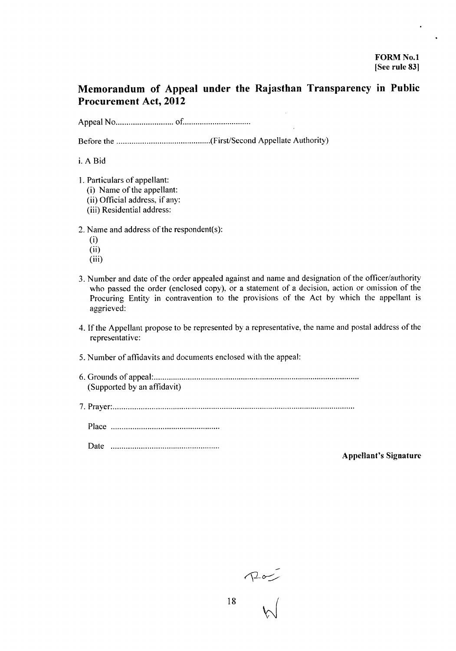### **Memorandum of Appeal under the Rajasthan Transparency in Public Procurement Act, 2012**

Appeal No of .

Before the (FirstiSecond Appellate Authority)

i.ABid

- 1. Particulars of appellant:
	- (i) Name of the appellant:
	- (ii) Official address, if any:
	- (iii) Residential address:

2. Name and address of the respondent(s):

- (i)
- (ii)
- (iii)
- 3. Number and date of the order appealed against and name and designation of the officer/authority who passed the order (enclosed copy), or a statement of a decision, action or omission of the Procuring Entity in contravention to the provisions of the Act by which the appellant is aggrieved:
- 4. Tfthe Appellant propose to be represented by a representative, the name and postal address of the representative:
- 5. Number of affidavits and documents enclosed with the appeal:
- 6. Grounds of appeal: . (Supported by an affidavit)
- 7. Prayer: .

Place .

Date .

Appellant's Signature

 $\begin{picture}(120,17)(-10,17)(-10,17)(-10,17)(-10,17)(-10,17)(-10,17)(-10,17)(-10,17)(-10,17)(-10,17)(-10,17)(-10,17)(-10,17)(-10,17)(-10,17)(-10,17)(-10,17)(-10,17)(-10,17)(-10,17)(-10,17)(-10,17)(-10,17)(-10,17)(-10,17)(-10,17)(-10,17)(-10,17)(-10,17)(-10,1$